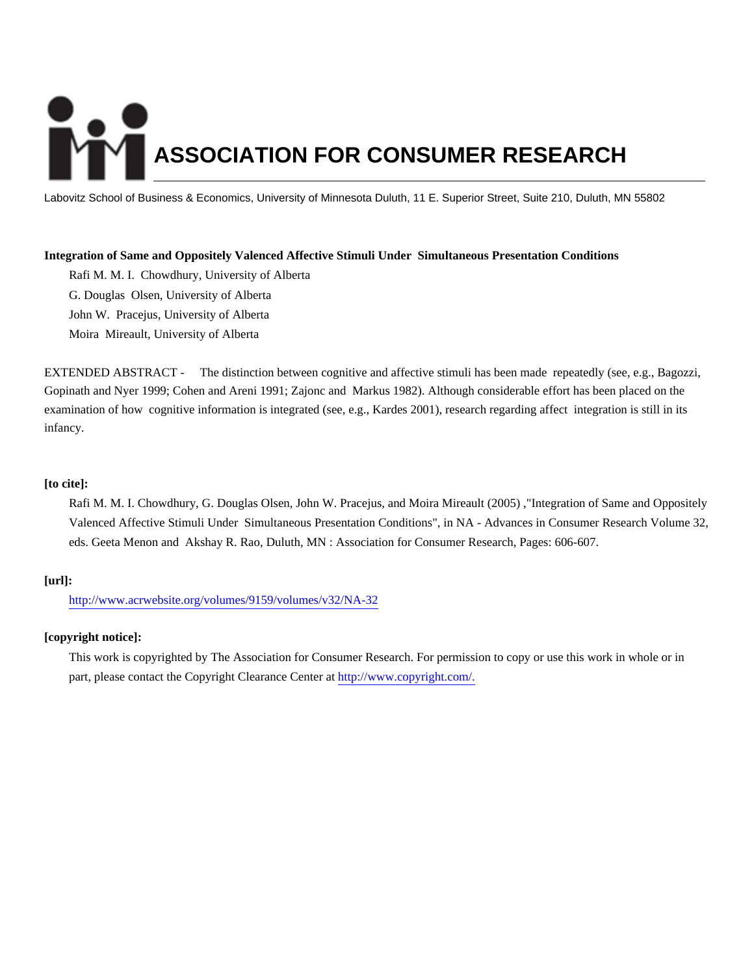# **ASSOCIATION FOR CONSUMER RESEARCH**

Labovitz School of Business & Economics, University of Minnesota Duluth, 11 E. Superior Street, Suite 210, Duluth, MN 55802

## **Integration of Same and Oppositely Valenced Affective Stimuli Under Simultaneous Presentation Conditions**

Rafi M. M. I. Chowdhury, University of Alberta G. Douglas Olsen, University of Alberta John W. Pracejus, University of Alberta Moira Mireault, University of Alberta

EXTENDED ABSTRACT - The distinction between cognitive and affective stimuli has been made repeatedly (see, e.g., Bagozzi, Gopinath and Nyer 1999; Cohen and Areni 1991; Zajonc and Markus 1982). Although considerable effort has been placed on the examination of how cognitive information is integrated (see, e.g., Kardes 2001), research regarding affect integration is still in its infancy.

## **[to cite]:**

Rafi M. M. I. Chowdhury, G. Douglas Olsen, John W. Pracejus, and Moira Mireault (2005) ,"Integration of Same and Oppositely Valenced Affective Stimuli Under Simultaneous Presentation Conditions", in NA - Advances in Consumer Research Volume 32, eds. Geeta Menon and Akshay R. Rao, Duluth, MN : Association for Consumer Research, Pages: 606-607.

# **[url]:**

<http://www.acrwebsite.org/volumes/9159/volumes/v32/NA-32>

## **[copyright notice]:**

This work is copyrighted by The Association for Consumer Research. For permission to copy or use this work in whole or in part, please contact the Copyright Clearance Center at [http://www.copyright.com/.](http://www.copyright.com/)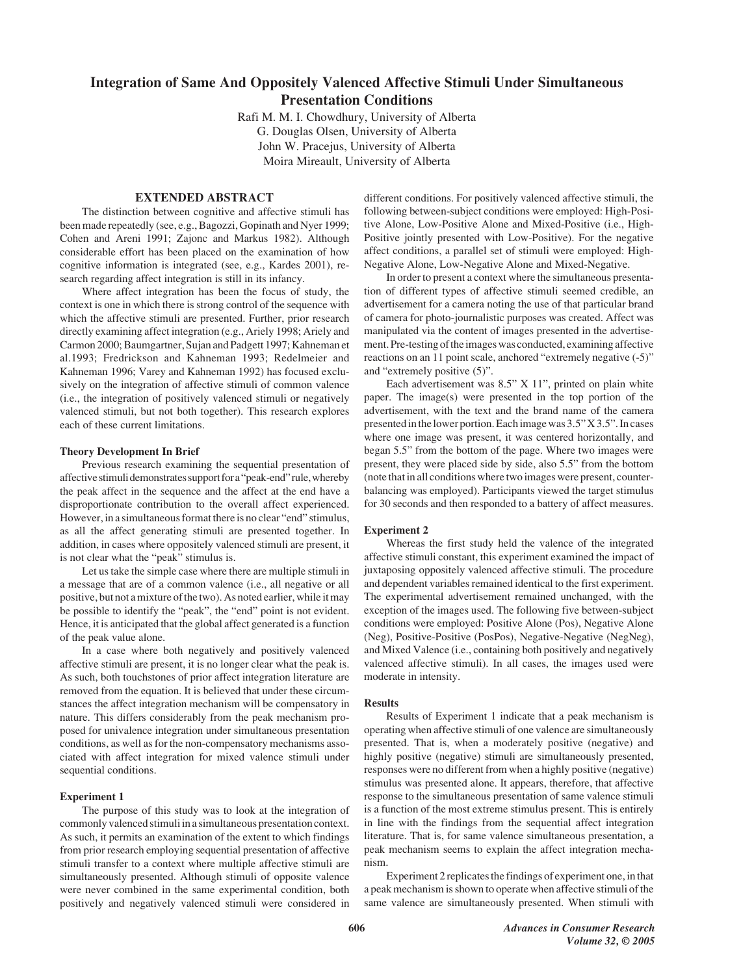# **Integration of Same And Oppositely Valenced Affective Stimuli Under Simultaneous Presentation Conditions**

Rafi M. M. I. Chowdhury, University of Alberta G. Douglas Olsen, University of Alberta John W. Pracejus, University of Alberta Moira Mireault, University of Alberta

#### **EXTENDED ABSTRACT**

The distinction between cognitive and affective stimuli has been made repeatedly (see, e.g., Bagozzi, Gopinath and Nyer 1999; Cohen and Areni 1991; Zajonc and Markus 1982). Although considerable effort has been placed on the examination of how cognitive information is integrated (see, e.g., Kardes 2001), research regarding affect integration is still in its infancy.

Where affect integration has been the focus of study, the context is one in which there is strong control of the sequence with which the affective stimuli are presented. Further, prior research directly examining affect integration (e.g., Ariely 1998; Ariely and Carmon 2000; Baumgartner, Sujan and Padgett 1997; Kahneman et al.1993; Fredrickson and Kahneman 1993; Redelmeier and Kahneman 1996; Varey and Kahneman 1992) has focused exclusively on the integration of affective stimuli of common valence (i.e., the integration of positively valenced stimuli or negatively valenced stimuli, but not both together). This research explores each of these current limitations.

#### **Theory Development In Brief**

Previous research examining the sequential presentation of affective stimuli demonstrates support for a "peak-end" rule, whereby the peak affect in the sequence and the affect at the end have a disproportionate contribution to the overall affect experienced. However, in a simultaneous format there is no clear "end" stimulus, as all the affect generating stimuli are presented together. In addition, in cases where oppositely valenced stimuli are present, it is not clear what the "peak" stimulus is.

Let us take the simple case where there are multiple stimuli in a message that are of a common valence (i.e., all negative or all positive, but not a mixture of the two). As noted earlier, while it may be possible to identify the "peak", the "end" point is not evident. Hence, it is anticipated that the global affect generated is a function of the peak value alone.

In a case where both negatively and positively valenced affective stimuli are present, it is no longer clear what the peak is. As such, both touchstones of prior affect integration literature are removed from the equation. It is believed that under these circumstances the affect integration mechanism will be compensatory in nature. This differs considerably from the peak mechanism proposed for univalence integration under simultaneous presentation conditions, as well as for the non-compensatory mechanisms associated with affect integration for mixed valence stimuli under sequential conditions.

#### **Experiment 1**

The purpose of this study was to look at the integration of commonly valenced stimuli in a simultaneous presentation context. As such, it permits an examination of the extent to which findings from prior research employing sequential presentation of affective stimuli transfer to a context where multiple affective stimuli are simultaneously presented. Although stimuli of opposite valence were never combined in the same experimental condition, both positively and negatively valenced stimuli were considered in different conditions. For positively valenced affective stimuli, the following between-subject conditions were employed: High-Positive Alone, Low-Positive Alone and Mixed-Positive (i.e., High-Positive jointly presented with Low-Positive). For the negative affect conditions, a parallel set of stimuli were employed: High-Negative Alone, Low-Negative Alone and Mixed-Negative.

In order to present a context where the simultaneous presentation of different types of affective stimuli seemed credible, an advertisement for a camera noting the use of that particular brand of camera for photo-journalistic purposes was created. Affect was manipulated via the content of images presented in the advertisement. Pre-testing of the images was conducted, examining affective reactions on an 11 point scale, anchored "extremely negative (-5)" and "extremely positive (5)".

Each advertisement was 8.5" X 11", printed on plain white paper. The image(s) were presented in the top portion of the advertisement, with the text and the brand name of the camera presented in the lower portion. Each image was 3.5" X 3.5". In cases where one image was present, it was centered horizontally, and began 5.5" from the bottom of the page. Where two images were present, they were placed side by side, also 5.5" from the bottom (note that in all conditions where two images were present, counterbalancing was employed). Participants viewed the target stimulus for 30 seconds and then responded to a battery of affect measures.

#### **Experiment 2**

Whereas the first study held the valence of the integrated affective stimuli constant, this experiment examined the impact of juxtaposing oppositely valenced affective stimuli. The procedure and dependent variables remained identical to the first experiment. The experimental advertisement remained unchanged, with the exception of the images used. The following five between-subject conditions were employed: Positive Alone (Pos), Negative Alone (Neg), Positive-Positive (PosPos), Negative-Negative (NegNeg), and Mixed Valence (i.e., containing both positively and negatively valenced affective stimuli). In all cases, the images used were moderate in intensity.

#### **Results**

Results of Experiment 1 indicate that a peak mechanism is operating when affective stimuli of one valence are simultaneously presented. That is, when a moderately positive (negative) and highly positive (negative) stimuli are simultaneously presented, responses were no different from when a highly positive (negative) stimulus was presented alone. It appears, therefore, that affective response to the simultaneous presentation of same valence stimuli is a function of the most extreme stimulus present. This is entirely in line with the findings from the sequential affect integration literature. That is, for same valence simultaneous presentation, a peak mechanism seems to explain the affect integration mechanism.

Experiment 2 replicates the findings of experiment one, in that a peak mechanism is shown to operate when affective stimuli of the same valence are simultaneously presented. When stimuli with